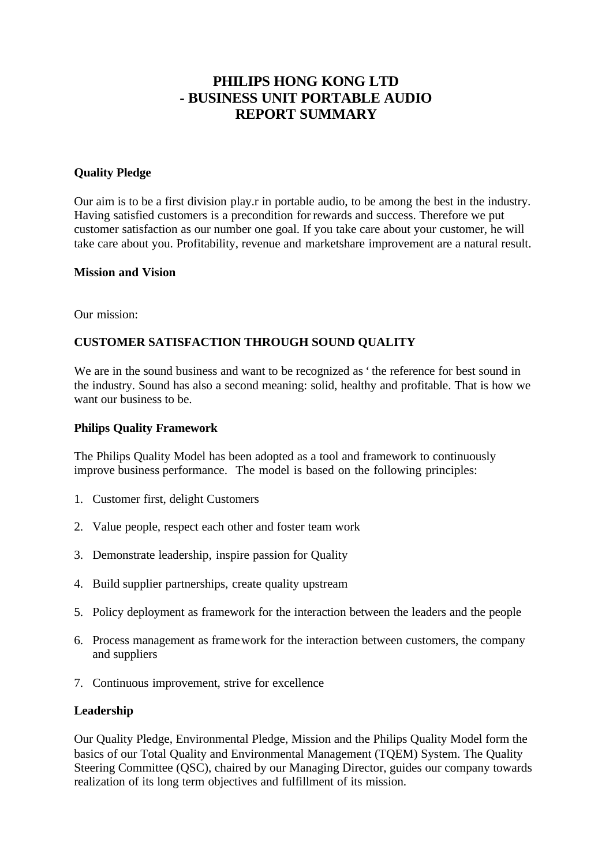# **PHILIPS HONG KONG LTD - BUSINESS UNIT PORTABLE AUDIO REPORT SUMMARY**

### **Quality Pledge**

Our aim is to be a first division play.r in portable audio, to be among the best in the industry. Having satisfied customers is a precondition for rewards and success. Therefore we put customer satisfaction as our number one goal. If you take care about your customer, he will take care about you. Profitability, revenue and marketshare improvement are a natural result.

### **Mission and Vision**

Our mission:

# **CUSTOMER SATISFACTION THROUGH SOUND QUALITY**

We are in the sound business and want to be recognized as 'the reference for best sound in the industry. Sound has also a second meaning: solid, healthy and profitable. That is how we want our business to be.

### **Philips Quality Framework**

The Philips Quality Model has been adopted as a tool and framework to continuously improve business performance. The model is based on the following principles:

- 1. Customer first, delight Customers
- 2. Value people, respect each other and foster team work
- 3. Demonstrate leadership, inspire passion for Quality
- 4. Build supplier partnerships, create quality upstream
- 5. Policy deployment as framework for the interaction between the leaders and the people
- 6. Process management as framework for the interaction between customers, the company and suppliers
- 7. Continuous improvement, strive for excellence

### **Leadership**

Our Quality Pledge, Environmental Pledge, Mission and the Philips Quality Model form the basics of our Total Quality and Environmental Management (TQEM) System. The Quality Steering Committee (QSC), chaired by our Managing Director, guides our company towards realization of its long term objectives and fulfillment of its mission.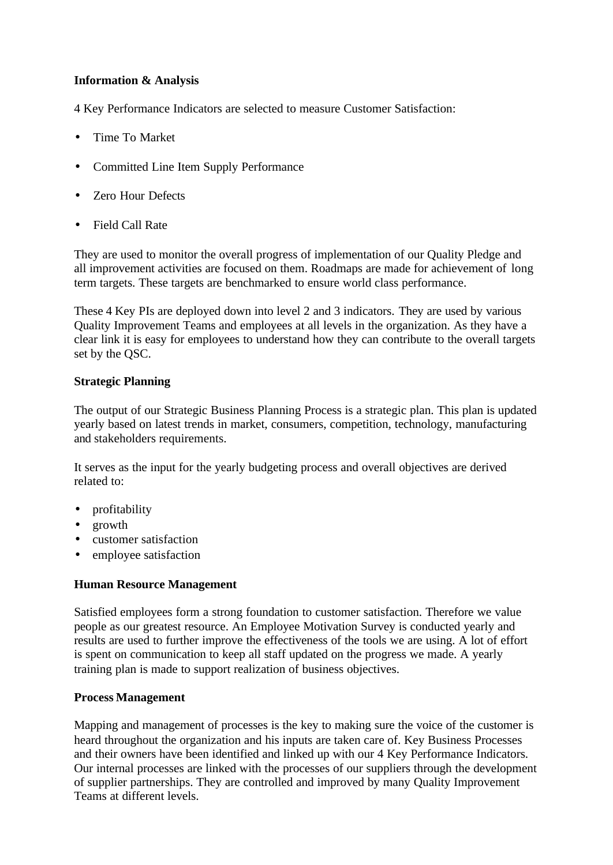# **Information & Analysis**

4 Key Performance Indicators are selected to measure Customer Satisfaction:

- Time To Market
- Committed Line Item Supply Performance
- Zero Hour Defects
- Field Call Rate

They are used to monitor the overall progress of implementation of our Quality Pledge and all improvement activities are focused on them. Roadmaps are made for achievement of long term targets. These targets are benchmarked to ensure world class performance.

These 4 Key PIs are deployed down into level 2 and 3 indicators. They are used by various Quality Improvement Teams and employees at all levels in the organization. As they have a clear link it is easy for employees to understand how they can contribute to the overall targets set by the QSC.

### **Strategic Planning**

The output of our Strategic Business Planning Process is a strategic plan. This plan is updated yearly based on latest trends in market, consumers, competition, technology, manufacturing and stakeholders requirements.

It serves as the input for the yearly budgeting process and overall objectives are derived related to:

- profitability
- growth
- customer satisfaction
- employee satisfaction

### **Human Resource Management**

Satisfied employees form a strong foundation to customer satisfaction. Therefore we value people as our greatest resource. An Employee Motivation Survey is conducted yearly and results are used to further improve the effectiveness of the tools we are using. A lot of effort is spent on communication to keep all staff updated on the progress we made. A yearly training plan is made to support realization of business objectives.

### **Process Management**

Mapping and management of processes is the key to making sure the voice of the customer is heard throughout the organization and his inputs are taken care of. Key Business Processes and their owners have been identified and linked up with our 4 Key Performance Indicators. Our internal processes are linked with the processes of our suppliers through the development of supplier partnerships. They are controlled and improved by many Quality Improvement Teams at different levels.